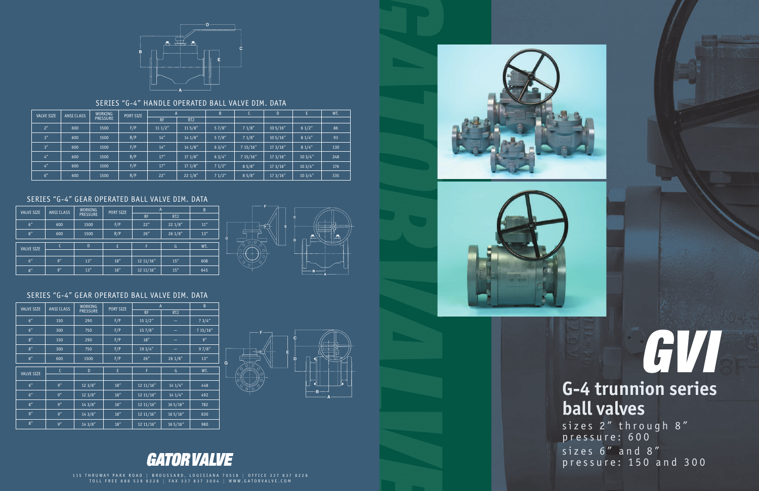# GVI **G-4 trunnion series ball valves**

sizes 2" through 8" pressure: 600 sizes 6" and 8" p r essur e: 1 50 and 300

### SERIES "G-4" GEAR OPERATED BALL VALVE DIM. DATA

### SERIES "G-4" GEAR OPERATED BALL VALVE DIM. DATA



### SERIES "G-4" HANDLE OPERATED BALL VALVE DIM. DATA

| <b>VALVE SIZE</b> | ANSI CLASS | <b>WORKING</b><br><b>PRESSURE</b> | PORT SIZE |           |            | B      |         | D                | E.     | WT. |
|-------------------|------------|-----------------------------------|-----------|-----------|------------|--------|---------|------------------|--------|-----|
|                   |            |                                   |           | <b>RF</b> | <b>RTJ</b> |        |         |                  |        |     |
| 2 <sup>n</sup>    | 600        | 1500                              | F/P       | 111/2"    | $11\,5/8"$ | 57/8'' | 71/8''  | $10\frac{5}{16}$ | 61/2"  | 86  |
| 3''               | 600        | 1500                              | R/P       | 14''      | 141/8"     | 57/8'' | 71/8''  | $10\frac{5}{16}$ | 81/4"  | 93  |
| 3''               | 600        | 1500                              | F/P       | 14''      | 141/8"     | 63/4'' | 715/16" | 173/16''         | 81/4"  | 130 |
| 4 <sup>''</sup>   | 600        | 1500                              | R/P       | 17''      | 171/8"     | 63/4'' | 715/16" | 173/16''         | 103/4" | 248 |
| 4 <sup>n</sup>    | 600        | 1500                              | F/P       | 17''      | 171/8''    | 71/2"  | 85/8"   | 173/16''         | 103/4" | 176 |
| 6''               | 600        | 1500                              | R/P       | 22"       | 221/8"     | 71/2"  | 85/8"   | 173/16"          | 103/4" | 335 |

| <b>VALVE SIZE</b> | <b>ANSI CLASS</b> | <b>WORKING</b><br><b>PRESSURE</b> | PORT SIZE | $\mathsf{A}$ | $\sf{B}$   |      |
|-------------------|-------------------|-----------------------------------|-----------|--------------|------------|------|
|                   |                   |                                   |           | <b>RF</b>    | <b>RTJ</b> |      |
| 6''               | 600               | 1500                              | F/P       | 22"          | 221/8"     | 11'' |
| 8''               | 600               | 1500                              | R/P       | 26''         | 261/8"     | 13'' |
| <b>VALVE SIZE</b> | $\mathsf{C}$      | D                                 | Ε         |              | G          | WT.  |
|                   |                   |                                   |           |              |            |      |
| 6''               | 9''               | 13''                              | 18''      | 12 11/16"    | 15''       | 608  |
| 8''               | 9''               | 13''                              | 18''      | 12 11/16"    | 15''       | 645  |



| <b>VALVE SIZE</b> | <b>ANSI CLASS</b> | <b>WORKING</b><br><b>PRESSURE</b> | PORT SIZE | A         | B          |          |
|-------------------|-------------------|-----------------------------------|-----------|-----------|------------|----------|
|                   |                   |                                   |           | <b>RF</b> | <b>RTJ</b> |          |
| 6''               | 150               | 290                               | F/P       | 151/2"    |            | 73/4''   |
| 6''               | 300               | 750                               | F/P       | 157/8"    |            | 7 15/16" |
| 8''               | 150               | 290                               | F/P       | 18''      | -          | 9''      |
| 8''               | 300               | 750                               | F/P       | 19 3/4"   |            | 97/8''   |
| 8''               | 600               | 1500                              | F/P       | 26''      | 261/8"     | 13''     |
| <b>VALVE SIZE</b> | $\mathsf{C}$      | D                                 | E         | F         | G          | WT.      |
|                   |                   |                                   |           |           |            |          |
| 6''               | 9''               | 123/8''                           | 18''      | 12 11/16" | 141/4"     | 448      |
| 6''               | 9''               | 123/8"                            | 18''      | 12 11/16" | 141/4"     | 492      |
| 8''               | 9''               | 143/8"                            | 18''      | 12 11/16" | 165/16''   | 782      |
| 8''               | 9''               | 143/8"                            | 18''      | 12 11/16" | 16 5/16"   | 830      |
| 8''               | 9''               | 143/8"                            | 18''      | 1211/16"  | 16 5/16"   | 980      |



## **GATOR VALVE**

1 1 5 THR U W A Y PARK ROAD | B R OUSSARD, L OUISIANA 705 1 8 | OFFICE 33 7 8 3 7 8228 T OLL FREE 888 528 8228 | F AX 337 837 3004 | WWW .GATORVALVE.COM